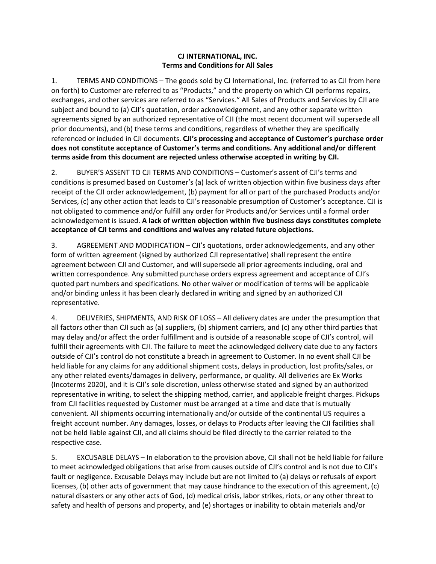## **CJ INTERNATIONAL, INC. Terms and Conditions for All Sales**

1. TERMS AND CONDITIONS – The goods sold by CJ International, Inc. (referred to as CJI from here on forth) to Customer are referred to as "Products," and the property on which CJI performs repairs, exchanges, and other services are referred to as "Services." All Sales of Products and Services by CJI are subject and bound to (a) CJI's quotation, order acknowledgement, and any other separate written agreements signed by an authorized representative of CJI (the most recent document will supersede all prior documents), and (b) these terms and conditions, regardless of whether they are specifically referenced or included in CJI documents. **CJI's processing and acceptance of Customer's purchase order does not constitute acceptance of Customer's terms and conditions. Any additional and/or different terms aside from this document are rejected unless otherwise accepted in writing by CJI.**

2. BUYER'S ASSENT TO CJI TERMS AND CONDITIONS – Customer's assent of CJI's terms and conditions is presumed based on Customer's (a) lack of written objection within five business days after receipt of the CJI order acknowledgement, (b) payment for all or part of the purchased Products and/or Services, (c) any other action that leads to CJI's reasonable presumption of Customer's acceptance. CJI is not obligated to commence and/or fulfill any order for Products and/or Services until a formal order acknowledgement is issued. **A lack of written objection within five business days constitutes complete acceptance of CJI terms and conditions and waives any related future objections.**

3. AGREEMENT AND MODIFICATION – CJI's quotations, order acknowledgements, and any other form of written agreement (signed by authorized CJI representative) shall represent the entire agreement between CJI and Customer, and will supersede all prior agreements including, oral and written correspondence. Any submitted purchase orders express agreement and acceptance of CJI's quoted part numbers and specifications. No other waiver or modification of terms will be applicable and/or binding unless it has been clearly declared in writing and signed by an authorized CJI representative.

4. DELIVERIES, SHIPMENTS, AND RISK OF LOSS – All delivery dates are under the presumption that all factors other than CJI such as (a) suppliers, (b) shipment carriers, and (c) any other third parties that may delay and/or affect the order fulfillment and is outside of a reasonable scope of CJI's control, will fulfill their agreements with CJI. The failure to meet the acknowledged delivery date due to any factors outside of CJI's control do not constitute a breach in agreement to Customer. In no event shall CJI be held liable for any claims for any additional shipment costs, delays in production, lost profits/sales, or any other related events/damages in delivery, performance, or quality. All deliveries are Ex Works (Incoterms 2020), and it is CJI's sole discretion, unless otherwise stated and signed by an authorized representative in writing, to select the shipping method, carrier, and applicable freight charges. Pickups from CJI facilities requested by Customer must be arranged at a time and date that is mutually convenient. All shipments occurring internationally and/or outside of the continental US requires a freight account number. Any damages, losses, or delays to Products after leaving the CJI facilities shall not be held liable against CJI, and all claims should be filed directly to the carrier related to the respective case.

5. EXCUSABLE DELAYS – In elaboration to the provision above, CJI shall not be held liable for failure to meet acknowledged obligations that arise from causes outside of CJI's control and is not due to CJI's fault or negligence. Excusable Delays may include but are not limited to (a) delays or refusals of export licenses, (b) other acts of government that may cause hindrance to the execution of this agreement, (c) natural disasters or any other acts of God, (d) medical crisis, labor strikes, riots, or any other threat to safety and health of persons and property, and (e) shortages or inability to obtain materials and/or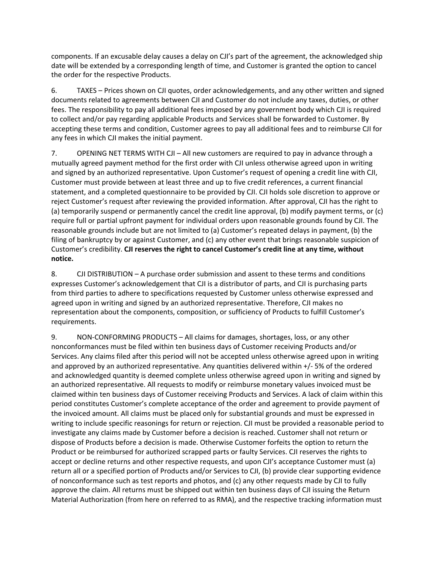components. If an excusable delay causes a delay on CJI's part of the agreement, the acknowledged ship date will be extended by a corresponding length of time, and Customer is granted the option to cancel the order for the respective Products.

6. TAXES – Prices shown on CJI quotes, order acknowledgements, and any other written and signed documents related to agreements between CJI and Customer do not include any taxes, duties, or other fees. The responsibility to pay all additional fees imposed by any government body which CJI is required to collect and/or pay regarding applicable Products and Services shall be forwarded to Customer. By accepting these terms and condition, Customer agrees to pay all additional fees and to reimburse CJI for any fees in which CJI makes the initial payment.

7. OPENING NET TERMS WITH CJI – All new customers are required to pay in advance through a mutually agreed payment method for the first order with CJI unless otherwise agreed upon in writing and signed by an authorized representative. Upon Customer's request of opening a credit line with CJI, Customer must provide between at least three and up to five credit references, a current financial statement, and a completed questionnaire to be provided by CJI. CJI holds sole discretion to approve or reject Customer's request after reviewing the provided information. After approval, CJI has the right to (a) temporarily suspend or permanently cancel the credit line approval, (b) modify payment terms, or (c) require full or partial upfront payment for individual orders upon reasonable grounds found by CJI. The reasonable grounds include but are not limited to (a) Customer's repeated delays in payment, (b) the filing of bankruptcy by or against Customer, and (c) any other event that brings reasonable suspicion of Customer's credibility. **CJI reserves the right to cancel Customer's credit line at any time, without notice.**

8. CJI DISTRIBUTION – A purchase order submission and assent to these terms and conditions expresses Customer's acknowledgement that CJI is a distributor of parts, and CJI is purchasing parts from third parties to adhere to specifications requested by Customer unless otherwise expressed and agreed upon in writing and signed by an authorized representative. Therefore, CJI makes no representation about the components, composition, or sufficiency of Products to fulfill Customer's requirements.

9. NON-CONFORMING PRODUCTS – All claims for damages, shortages, loss, or any other nonconformances must be filed within ten business days of Customer receiving Products and/or Services. Any claims filed after this period will not be accepted unless otherwise agreed upon in writing and approved by an authorized representative. Any quantities delivered within +/- 5% of the ordered and acknowledged quantity is deemed complete unless otherwise agreed upon in writing and signed by an authorized representative. All requests to modify or reimburse monetary values invoiced must be claimed within ten business days of Customer receiving Products and Services. A lack of claim within this period constitutes Customer's complete acceptance of the order and agreement to provide payment of the invoiced amount. All claims must be placed only for substantial grounds and must be expressed in writing to include specific reasonings for return or rejection. CJI must be provided a reasonable period to investigate any claims made by Customer before a decision is reached. Customer shall not return or dispose of Products before a decision is made. Otherwise Customer forfeits the option to return the Product or be reimbursed for authorized scrapped parts or faulty Services. CJI reserves the rights to accept or decline returns and other respective requests, and upon CJI's acceptance Customer must (a) return all or a specified portion of Products and/or Services to CJI, (b) provide clear supporting evidence of nonconformance such as test reports and photos, and (c) any other requests made by CJI to fully approve the claim. All returns must be shipped out within ten business days of CJI issuing the Return Material Authorization (from here on referred to as RMA), and the respective tracking information must